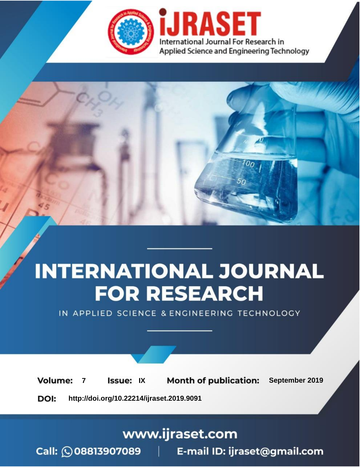



IN APPLIED SCIENCE & ENGINEERING TECHNOLOGY

**7 Issue:** IX **Month of publication:** September 2019 **Volume: http://doi.org/10.22214/ijraset.2019.9091**DOI:

www.ijraset.com

Call: **Q08813907089** E-mail ID: ijraset@gmail.com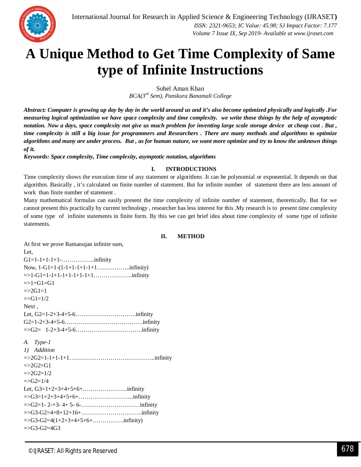

# **A Unique Method to Get Time Complexity of Same type of Infinite Instructions**

Sohel Aman Khan

*BCA(3rd Sem), Panskura Banamali College*

*Abstract: Computer is growing up day by day in the world around us and it's also become optimized physically and logically .For measuring logical optimization we have space complexity and time complexity. we write those things by the help of asymptotic notation. Now a days, space complexity not give us much problem for inventing large scale storage device at cheap cost . But , time complexity is still a big issue for programmers and Researchers . There are many methods and algorithms to optimize algorithms and many are under process. But , as for human nature, we want more optimize and try to know the unknown things of it.*

*Keywords: Space complexity, Time complexity, asymptotic notation, algorithms*

### **I. INTRODUCTIONS**

Time complexity shows the execution time of any statement or algorithms .It can be polynomial or exponential. It depends on that algorithm. Basically , it's calculated on finite number of statement. But for infinite number of statement there are less amount of work than finite number of statement .

Many mathematical formulas can easily present the time complexity of infinite number of statement, theoretically. But for we cannot present this practically by current technology , researcher has less interest for this .My research is to present time complexity of some type of infinite statements in finite form. By this we can get brief idea about time complexity of some type of infinite statements.

## **II. METHOD**

At first we prove Ramanujan infinite sum, Let,  $G1 = 1 - 1 + 1 - 1 + 1 - \ldots$  infinity Now,  $1-G1=1-(1-1+1-1+1-1+1.......$  infinity) =>1-G1=1-1+1-1+1-1+1-1+1………………..infinity  $\Rightarrow$ 1+G1=G1  $= >2G1=1$  $= > G1 = 1/2$ Next. Let, G2=1-2+3-4+5-6………………………….infinity G2=1-2+3-4+5-6………………………………….infinity =>G2= 1-2+3-4+5-6…………………………….infinity *A. Type-1 1) Addition* =>2G2=1-1+1-1+1……………………………………..infinity  $= >2G2 = G1$  $= >2G2=1/2$  $= >G2=1/4$ Let, G3=1+2+3+4+5+6+…………………..infinity =>G3=1+2+3+4+5+6+……………………….infinity =>G2=1- 2-+3- 4+ 5- 6-…………………………infinity  $=$ >G3-G2=4+8+12+16+……………………………………………infinity =>G3-G2=4(1+2+3+4+5+6+…………….infinity)  $=$ >G3-G2=4G3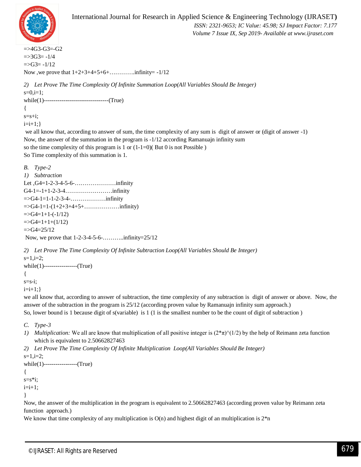

 *ISSN: 2321-9653; IC Value: 45.98; SJ Impact Factor: 7.177 Volume 7 Issue IX, Sep 2019- Available at www.ijraset.com*

 $=\geq 4G3-G3=-G2$  $\approx$  =>3G3= -1/4  $=>G3= -1/12$ Now ,we prove that 1+2+3+4+5+6+………….infinity= -1/12

*2) Let Prove The Time Complexity Of Infinite Summation Loop(All Variables Should Be Integer)*  $s=0,i=1;$ while(1)---------------------------------(True) {  $s=$ s $+i$ ;  $i=i+1;$ we all know that, according to answer of sum, the time complexity of any sum is digit of answer or (digit of answer -1) Now, the answer of the summation in the program is -1/12 according Ramanuajn infinity sum so the time complexity of this program is 1 or  $(1-1=0)$  (But 0 is not Possible) So Time complexity of this summation is 1. *B. Type-2 1) Subtraction* Let ,G4=1-2-3-4-5-6-…………………infinity G4-1=-1+1-2-3-4……………………infinity  $=$   $>G4$ -1=1-1-2-3-4-……………………infinity =>G4-1=1-(1+2+3+4+5+………………infinity)  $\Rightarrow$ G4=1+1-(-1/12)  $=\left[5\right]$  $=$ >G4=25/12 Now, we prove that 1-2-3-4-5-6-………..infinity=25/12 *2) Let Prove The Time Complexity Of Infinite Subtraction Loop(All Variables Should Be Integer)*  $s=1, i=2;$ while(1)-----------------(True) {  $s=s-i;$  $i=i+1;$ we all know that, according to answer of subtraction, the time complexity of any subtraction is digit of answer or above. Now, the answer of the subtraction in the program is 25/12 (according proven value by Ramanuajn infinity sum approach.) So, lower bound is 1 because digit of s(variable) is 1 (1 is the smallest number to be the count of digit of subtraction ) *C. Type-3 1) Multiplication:* We all are know that multiplication of all positive integer is  $(2*\pi)'(1/2)$  by the help of Reimann zeta function which is equivalent to 2.50662827463 *2) Let Prove The Time Complexity Of Infinite Multiplication Loop(All Variables Should Be Integer)*  $s=1, i=2;$ while(1)-----------------(True) {

 $s=s*<sub>i</sub>;$ 

 $i=i+1$ ;

}

Now, the answer of the multiplication in the program is equivalent to 2.50662827463 (according proven value by Reimann zeta function approach.)

We know that time complexity of any multiplication is  $O(n)$  and highest digit of an multiplication is  $2*n$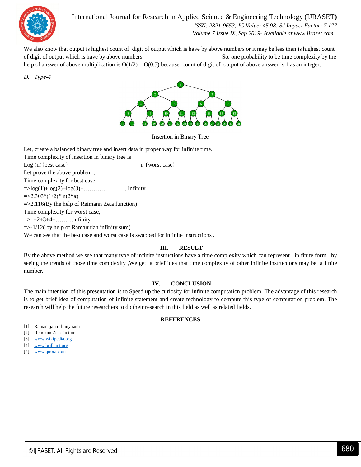

International Journal for Research in Applied Science & Engineering Technology (IJRASET**)**

 *ISSN: 2321-9653; IC Value: 45.98; SJ Impact Factor: 7.177 Volume 7 Issue IX, Sep 2019- Available at www.ijraset.com*

We also know that output is highest count of digit of output which is have by above numbers or it may be less than is highest count of digit of output which is have by above numbers So, one probability to be time complexity by the help of answer of above multiplication is  $O(1/2) = O(0.5)$  because count of digit of output of above answer is 1 as an integer.

*D. Type-4*



Insertion in Binary Tree

Let, create a balanced binary tree and insert data in proper way for infinite time. Time complexity of insertion in binary tree is Log (n) { best case } n {worst case } Let prove the above problem , Time complexity for best case,  $=$   $\log(1) + \log(2) + \log(3) + \ldots$  Infinity  $=$   $\geq$ 2.303\*(1/2)\*ln(2\*π) =>2.116(By the help of Reimann Zeta function) Time complexity for worst case,  $= >1+2+3+4+\ldots$  infinity  $\Rightarrow$  1/12( by help of Ramanujan infinity sum) We can see that the best case and worst case is swapped for infinite instructions .

### **III. RESULT**

By the above method we see that many type of infinite instructions have a time complexity which can represent in finite form . by seeing the trends of those time complexity ,We get a brief idea that time complexity of other infinite instructions may be a finite number.

#### **IV. CONCLUSION**

The main intention of this presentation is to Speed up the curiosity for infinite computation problem. The advantage of this research is to get brief idea of computation of infinite statement and create technology to compute this type of computation problem. The research will help the future researchers to do their research in this field as well as related fields.

#### **REFERENCES**

- [1] Ramanujan infinity sum
- [2] Reimann Zeta fuction
- [3] www.wikipedia.org
- [4] www.brilliant.org
- [5] www.quora.com